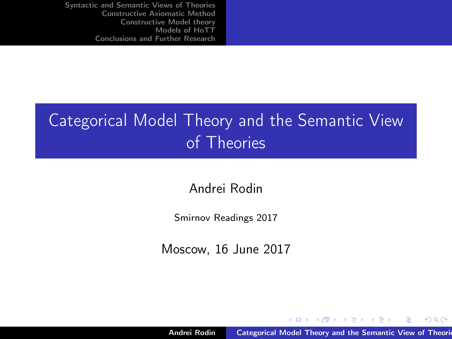# Categorical Model Theory and the Semantic View of Theories

Andrei Rodin

Smirnov Readings 2017

Moscow, 16 June 2017

Andrei Rodin **[Categorical Model Theory and the Semantic View of Theories](#page-45-0)** 

イロト イ部 トメ ミト メミト

<span id="page-0-0"></span> $2Q$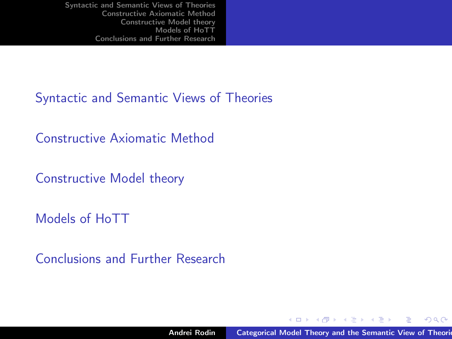[Syntactic and Semantic Views of Theories](#page-2-0)

[Constructive Axiomatic Method](#page-9-0)

[Constructive Model theory](#page-14-0)

[Models of HoTT](#page-27-0)

[Conclusions and Further Research](#page-42-0)

メロメ メ母メ メミメ メミメー

 $\Omega$ 

э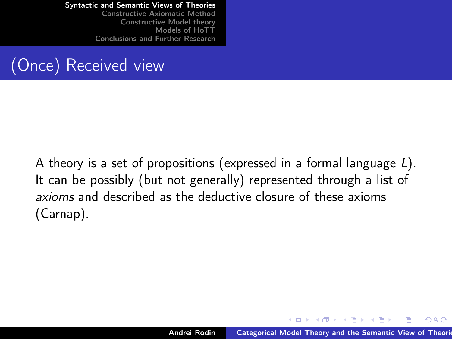[Constructive Axiomatic Method](#page-9-0) [Constructive Model theory](#page-14-0) [Models of HoTT](#page-27-0) [Conclusions and Further Research](#page-42-0)

## (Once) Received view

A theory is a set of propositions (expressed in a formal language L). It can be possibly (but not generally) represented through a list of axioms and described as the deductive closure of these axioms (Carnap).

<span id="page-2-0"></span>イロメ マ母メ マミメ マミメ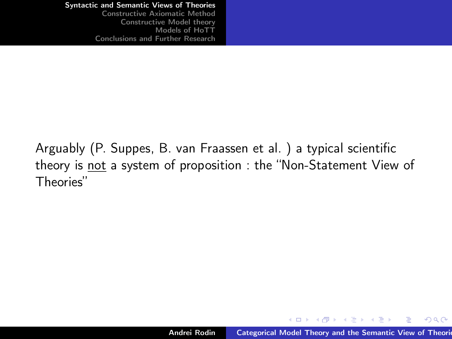[Syntactic and Semantic Views of Theories](#page-2-0) [Constructive Axiomatic Method](#page-9-0)

[Constructive Model theory](#page-14-0) [Models of HoTT](#page-27-0) [Conclusions and Further Research](#page-42-0)

Arguably (P. Suppes, B. van Fraassen et al. ) a typical scientific theory is not a system of proposition : the "Non-Statement View of Theories"

イロメ マ母 トラ ミュート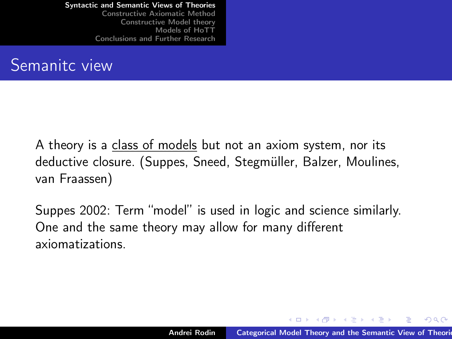[Constructive Axiomatic Method](#page-9-0) [Constructive Model theory](#page-14-0) [Models of HoTT](#page-27-0) [Conclusions and Further Research](#page-42-0)

#### Semanitc view

A theory is a class of models but not an axiom system, nor its deductive closure. (Suppes, Sneed, Stegmüller, Balzer, Moulines, van Fraassen)

Suppes 2002: Term "model" is used in logic and science similarly. One and the same theory may allow for many different axiomatizations.

イロメ マ母メ マミメ マミメ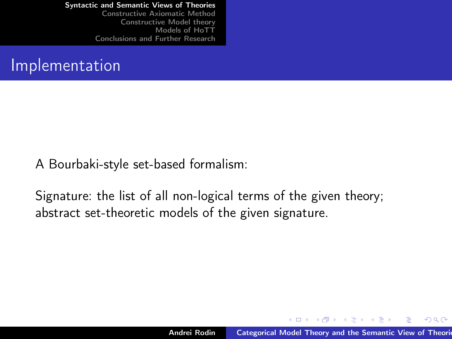[Constructive Axiomatic Method](#page-9-0) [Constructive Model theory](#page-14-0) [Models of HoTT](#page-27-0) [Conclusions and Further Research](#page-42-0)

#### Implementation

A Bourbaki-style set-based formalism:

Signature: the list of all non-logical terms of the given theory; abstract set-theoretic models of the given signature.

イロメ マ母 トラ ミュート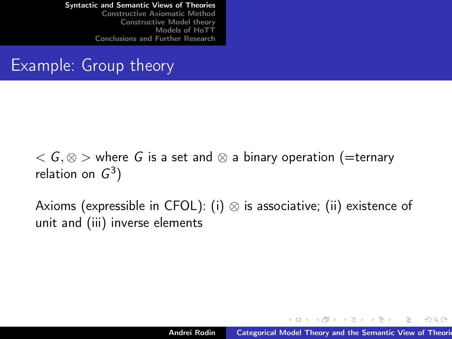[Constructive Axiomatic Method](#page-9-0) [Constructive Model theory](#page-14-0) [Models of HoTT](#page-27-0) [Conclusions and Further Research](#page-42-0)

#### Example: Group theory

 $\zeta$   $\zeta$   $\zeta$   $\gg$  where G is a set and  $\otimes$  a binary operation (=ternary relation on  $G^3$ )

Axioms (expressible in CFOL): (i)  $\otimes$  is associative; (ii) existence of unit and (iii) inverse elements

イロメ イ母 トラ ミン マチャー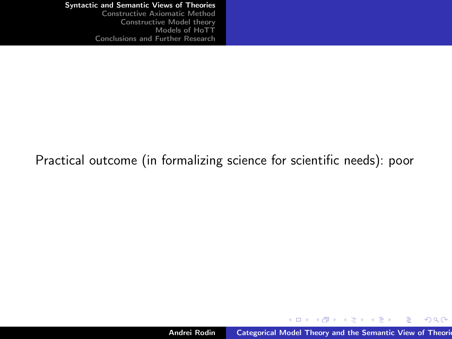[Constructive Axiomatic Method](#page-9-0) [Constructive Model theory](#page-14-0) [Models of HoTT](#page-27-0) [Conclusions and Further Research](#page-42-0)

#### Practical outcome (in formalizing science for scientific needs): poor

メロト メタト メミト メミト

重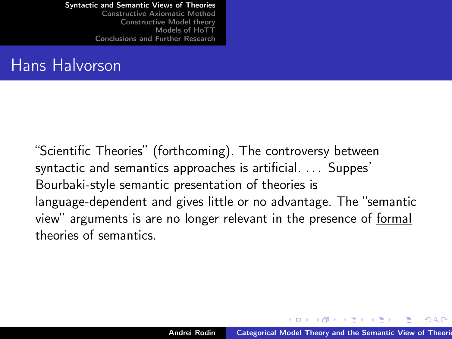[Constructive Axiomatic Method](#page-9-0) [Constructive Model theory](#page-14-0) [Models of HoTT](#page-27-0) [Conclusions and Further Research](#page-42-0)

#### Hans Halvorson

"Scientific Theories" (forthcoming). The controversy between syntactic and semantics approaches is artificial. . . . Suppes' Bourbaki-style semantic presentation of theories is language-dependent and gives little or no advantage. The "semantic view" arguments is are no longer relevant in the presence of formal theories of semantics.

イロメ マタメ マラメ マラメ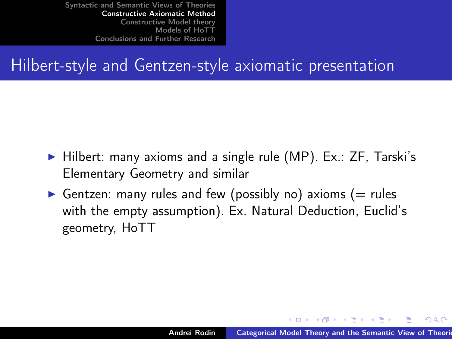#### Hilbert-style and Gentzen-style axiomatic presentation

- $\triangleright$  Hilbert: many axioms and a single rule (MP). Ex.: ZF, Tarski's Elementary Geometry and similar
- Gentzen: many rules and few (possibly no) axioms (= rules with the empty assumption). Ex. Natural Deduction, Euclid's geometry, HoTT

<span id="page-9-0"></span>イロメ マ母 トラ ミュート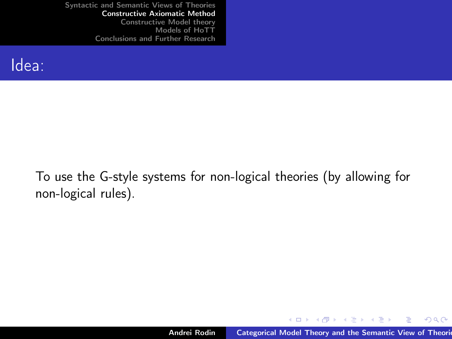

To use the G-style systems for non-logical theories (by allowing for non-logical rules).

メロト メ母 トメ ミト メ ヨト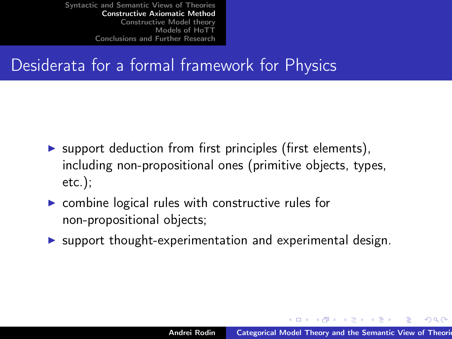## Desiderata for a formal framework for Physics

- $\triangleright$  support deduction from first principles (first elements), including non-propositional ones (primitive objects, types, etc.);
- $\triangleright$  combine logical rules with constructive rules for non-propositional objects;
- $\triangleright$  support thought-experimentation and experimental design.

イロメ イ部メ イヨメ イヨメ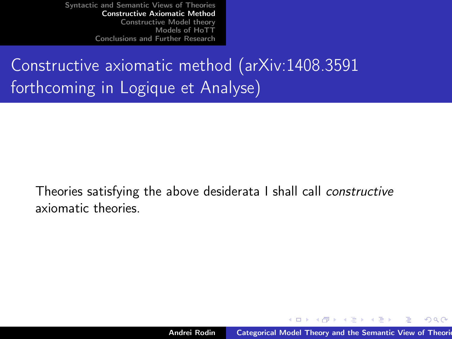# Constructive axiomatic method (arXiv:1408.3591 forthcoming in Logique et Analyse)

Theories satisfying the above desiderata I shall call constructive axiomatic theories.

イロメ イ母 トラ ミン マチャー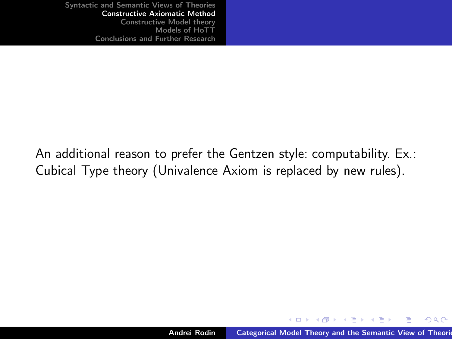An additional reason to prefer the Gentzen style: computability. Ex.: Cubical Type theory (Univalence Axiom is replaced by new rules).

メロト メ母 トメ ミト メ ヨト

 $2Q$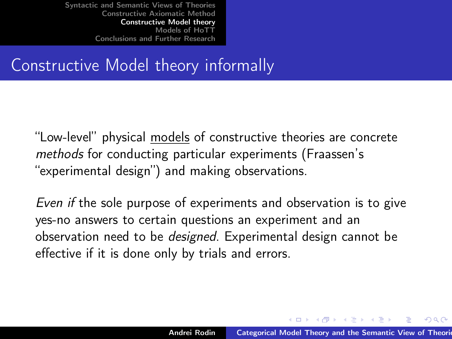## Constructive Model theory informally

"Low-level" physical models of constructive theories are concrete methods for conducting particular experiments (Fraassen's "experimental design") and making observations.

Even if the sole purpose of experiments and observation is to give yes-no answers to certain questions an experiment and an observation need to be designed. Experimental design cannot be effective if it is done only by trials and errors.

<span id="page-14-0"></span>イロメ マ母 トマ ミメ マ ミメー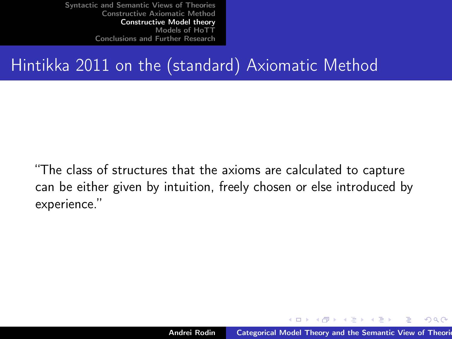## Hintikka 2011 on the (standard) Axiomatic Method

"The class of structures that the axioms are calculated to capture can be either given by intuition, freely chosen or else introduced by experience."

イロメ マ母 トラ ミュート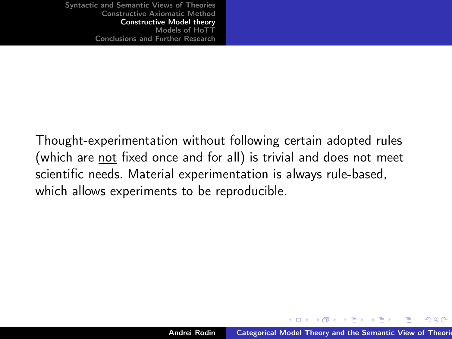Thought-experimentation without following certain adopted rules (which are not fixed once and for all) is trivial and does not meet scientific needs. Material experimentation is always rule-based, which allows experiments to be reproducible.

イロメ マ母 トラ ミュート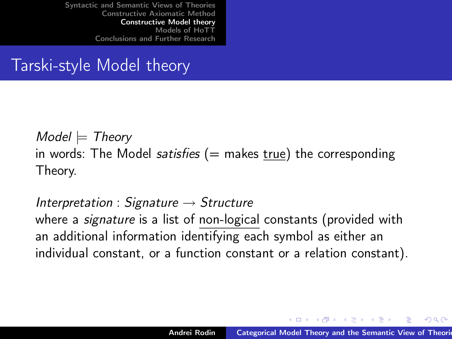#### Tarski-style Model theory

 $Model \models Theory$ in words: The Model *satisfies*  $($  = makes true) the corresponding Theory.

Interpretation : Signature  $\rightarrow$  Structure where a *signature* is a list of non-logical constants (provided with an additional information identifying each symbol as either an individual constant, or a function constant or a relation constant).

イロメ イ母 トラ ミン マチャー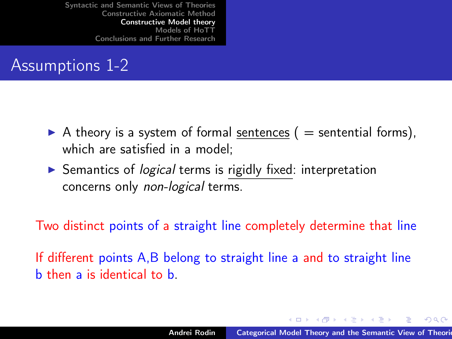## Assumptions 1-2

- A theory is a system of formal sentences ( $=$  sentential forms), which are satisfied in a model:
- $\triangleright$  Semantics of *logical* terms is rigidly fixed: interpretation concerns only non-logical terms.

Two distinct points of a straight line completely determine that line

If different points A,B belong to straight line a and to straight line b then a is identical to b.

イロメ マ母メ マミメ マミメ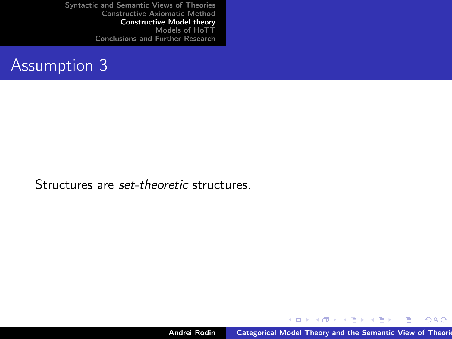#### Assumption 3

Structures are set-theoretic structures.

Andrei Rodin **[Categorical Model Theory and the Semantic View of Theories](#page-0-0)** 

イロト イ部 トイミト イミト

重

 $2Q$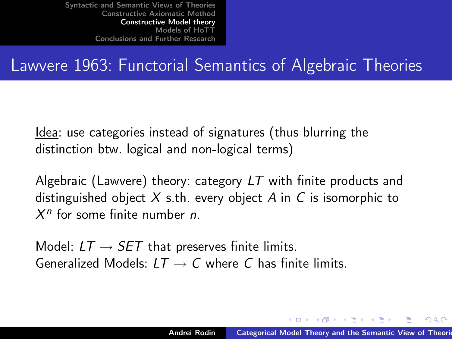#### Lawvere 1963: Functorial Semantics of Algebraic Theories

Idea: use categories instead of signatures (thus blurring the distinction btw. logical and non-logical terms)

Algebraic (Lawvere) theory: category LT with finite products and distinguished object  $X$  s.th. every object  $A$  in  $C$  is isomorphic to  $X<sup>n</sup>$  for some finite number *n*.

Model:  $LT \rightarrow SET$  that preserves finite limits. Generalized Models:  $LT \rightarrow C$  where C has finite limits.

イロメ マ母メ マミメ マミメ

へのへ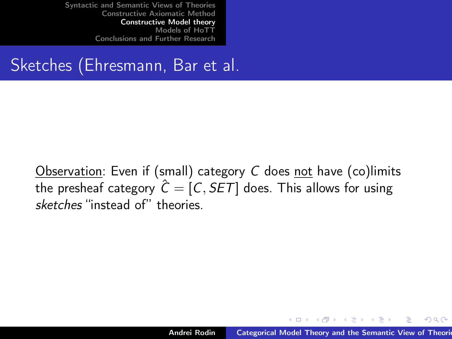## Sketches (Ehresmann, Bar et al.

Observation: Even if (small) category C does not have (co)limits the presheaf category  $\hat{C} = [C, SET]$  does. This allows for using sketches "instead of" theories.

イロメ イ母 トラ ミン マチャー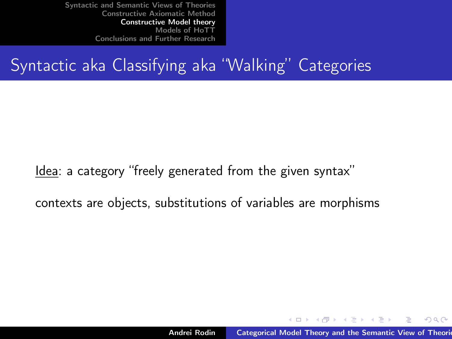## Syntactic aka Classifying aka "Walking" Categories

Idea: a category "freely generated from the given syntax"

contexts are objects, substitutions of variables are morphisms

イロメ マ母 トラ ミュート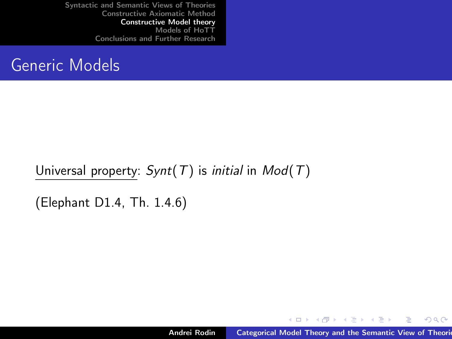#### Generic Models

Universal property:  $Synt(T)$  is *initial* in  $Mod(T)$ 

(Elephant D1.4, Th. 1.4.6)

メロト メタト メミト メミト

 $298$ 

隱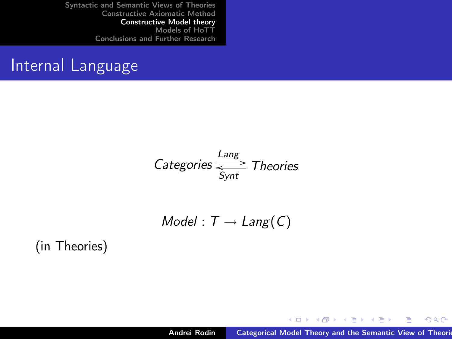#### Internal Language

Categories 
$$
\frac{\text{Lang}}{\text{Symt}}
$$
 Theories

$$
Model: T \rightarrow Lang(C)
$$

(in Theories)

メロト メタト メミト メミト

重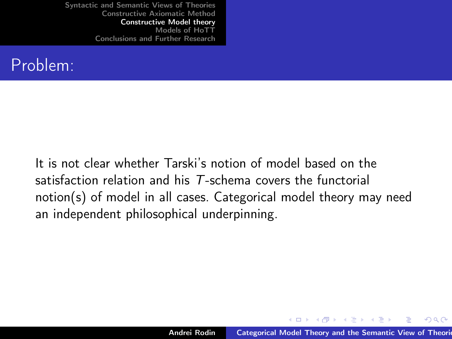#### Problem:

It is not clear whether Tarski's notion of model based on the satisfaction relation and his T-schema covers the functorial notion(s) of model in all cases. Categorical model theory may need an independent philosophical underpinning.

K ロ ▶ K 御 ▶ K 君 ▶ K 君 ▶ ..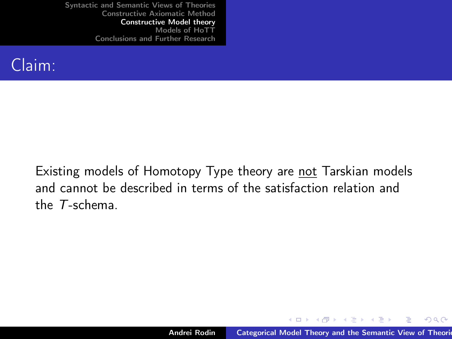

Existing models of Homotopy Type theory are not Tarskian models and cannot be described in terms of the satisfaction relation and the T-schema.

イロト イ団 トメ きょ メ きょう

 $2Q$ 

э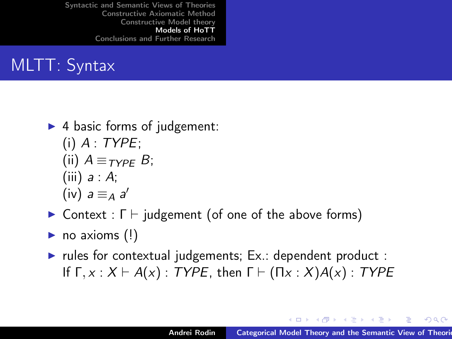## MLTT: Syntax

- $\blacktriangleright$  4 basic forms of judgement:  $(i)$  A : TYPE; (ii)  $A \equiv_{\tau \vee p \in B}$ ; (iii)  $a : A$ ; (iv)  $a \equiv_A a'$
- $\triangleright$  Context : Γ  $\vdash$  judgement (of one of the above forms)
- $\blacktriangleright$  no axioms (!)
- rules for contextual judgements;  $Ex.:$  dependent product : If  $\Gamma, x : X \vdash A(x) : TYPE$ , then  $\Gamma \vdash (\Pi x : X)A(x) : TYPE$

<span id="page-27-0"></span>イロメ マ母 トマ ヨ トマ ヨ トー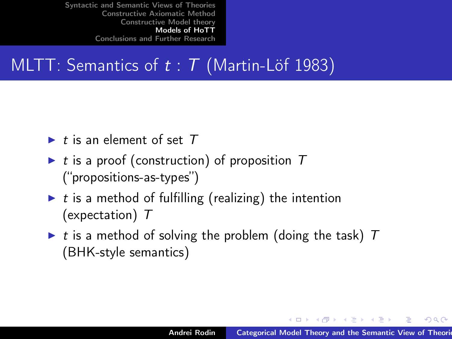## MLTT: Semantics of  $t : T$  (Martin-Löf 1983)

- $\blacktriangleright$  t is an element of set  $T$
- $\triangleright$  t is a proof (construction) of proposition T ("propositions-as-types")
- $\blacktriangleright$  t is a method of fulfilling (realizing) the intention (expectation) T
- $\triangleright$  t is a method of solving the problem (doing the task) T (BHK-style semantics)

イロメ イ母 トラ ミン マチャー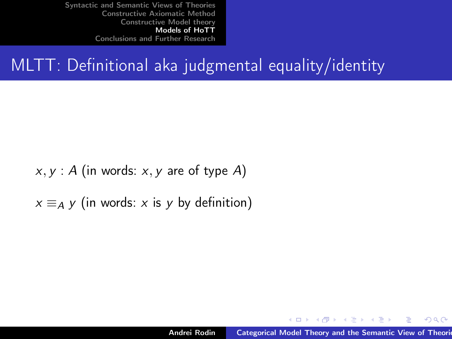## MLTT: Definitional aka judgmental equality/identity

 $x, y$ : A (in words: x, y are of type A)

 $x \equiv_A y$  (in words: x is y by definition)

イロメ マ母メ マミメ マミメ

 $2Q$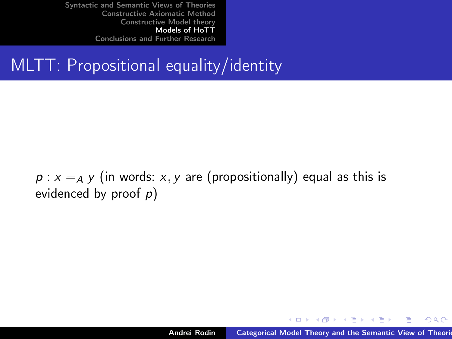## MLTT: Propositional equality/identity

 $p : x =_A y$  (in words: x, y are (propositionally) equal as this is evidenced by proof  $p$ )

イロメ マ母 トラ ミュート

 $2Q$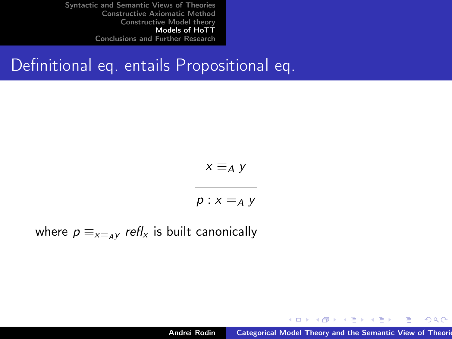#### Definitional eq. entails Propositional eq.

$$
x \equiv_A y
$$

$$
p: x =_A y
$$

where  $p \equiv_{x=\mu}$  refl<sub>x</sub> is built canonically

メロト メタト メミト メミト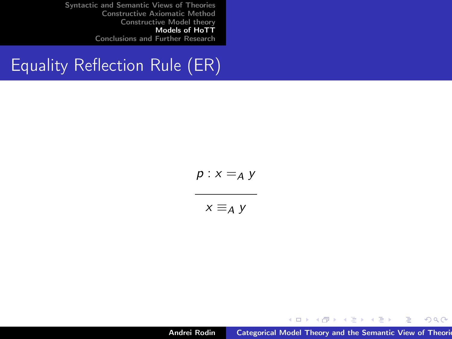## Equality Reflection Rule (ER)

$$
p: x =_A y
$$
  
x =\_A y

Andrei Rodin **[Categorical Model Theory and the Semantic View of Theories](#page-0-0)** 

イロト イ部 トイミト イミト

È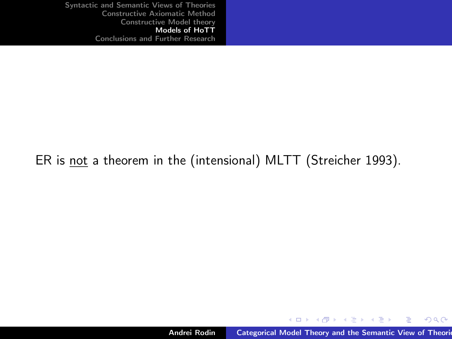#### ER is not a theorem in the (intensional) MLTT (Streicher 1993).

メロト メタト メミト メミト

重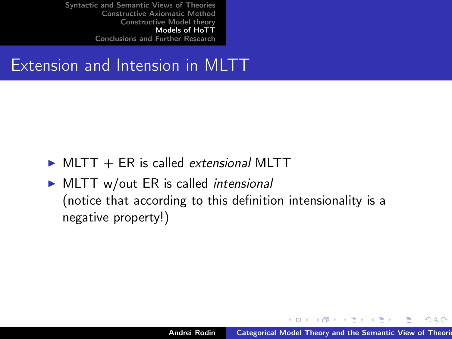#### Extension and Intension in MLTT

- $\triangleright$  MLTT + ER is called *extensional* MLTT
- $\triangleright$  MLTT w/out ER is called *intensional* (notice that according to this definition intensionality is a negative property!)

キロメ オ御き オミメ オミメ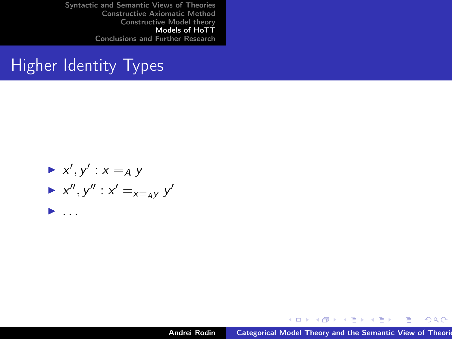#### **Higher Identity Types**

$$
\begin{array}{c}\n\blacktriangleright x', y' : x =_A y \\
\blacktriangleright x'', y'': x' =_{x =_A y} y' \\
\blacktriangleright \dots\n\end{array}
$$

メロメ メ都 メメ きょくきょう

重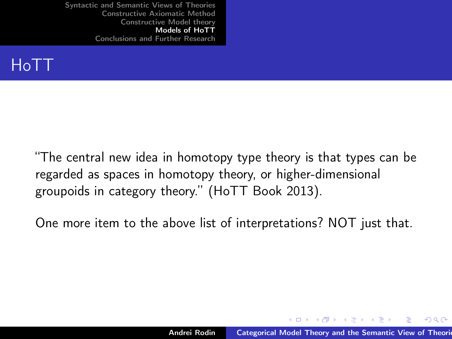

"The central new idea in homotopy type theory is that types can be regarded as spaces in homotopy theory, or higher-dimensional groupoids in category theory." (HoTT Book 2013).

One more item to the above list of interpretations? NOT just that.

イロメ イ母 トラ ミン マチャー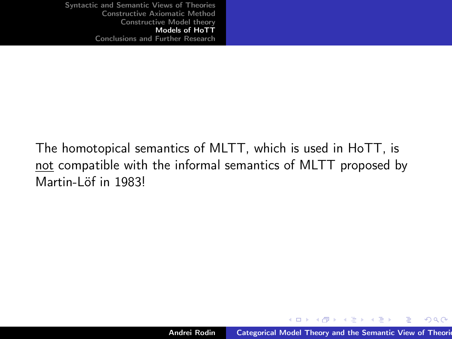The homotopical semantics of MLTT, which is used in HoTT, is not compatible with the informal semantics of MLTT proposed by Martin-Löf in 1983!

キロメ オ御き オミメ オミメ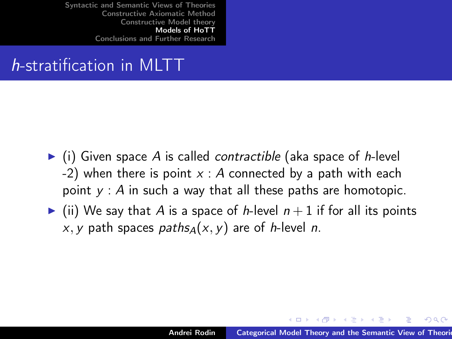## h-stratification in MLTT

- $\triangleright$  (i) Given space A is called contractible (aka space of h-level -2) when there is point  $x : A$  connected by a path with each point  $y : A$  in such a way that all these paths are homotopic.
- $\blacktriangleright$  (ii) We say that A is a space of h-level  $n+1$  if for all its points x, y path spaces paths $A(x, y)$  are of h-level n.

イロメ イ母 トラ ミン マチャー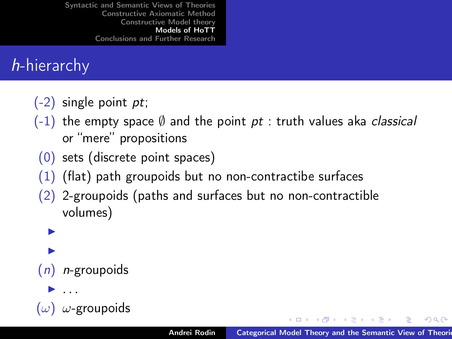## h-hierarchy

- $(-2)$  single point *pt*;
- $(-1)$  the empty space  $\emptyset$  and the point pt : truth values aka classical or "mere" propositions
- (0) sets (discrete point spaces)
- $(1)$  (flat) path groupoids but no non-contractibe surfaces
- (2) 2-groupoids (paths and surfaces but no non-contractible volumes)

**D D**  $(n)$  *n*-groupoids <sup>I</sup> . . .

 $A \oplus B$  ,  $A \oplus B$  ,  $A \oplus B$  ,  $B$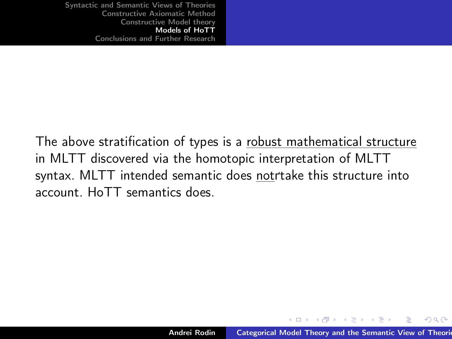The above stratification of types is a robust mathematical structure in MLTT discovered via the homotopic interpretation of MLTT syntax. MLTT intended semantic does notrtake this structure into account. HoTT semantics does.

キロメ オ御き オミメ オミメ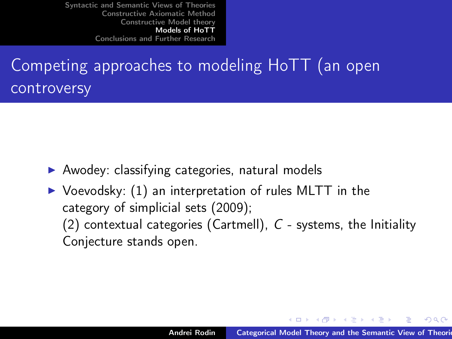# Competing approaches to modeling HoTT (an open controversy

- $\blacktriangleright$  Awodey: classifying categories, natural models
- $\triangleright$  Voevodsky: (1) an interpretation of rules MLTT in the category of simplicial sets (2009); (2) contextual categories (Cartmell),  $C$  - systems, the Initiality Conjecture stands open.

イロメ イ母 トラ ミット・チャー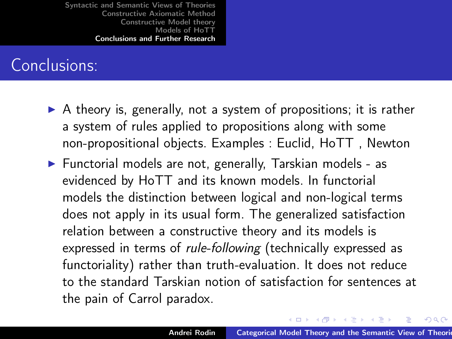#### Conclusions:

- $\triangleright$  A theory is, generally, not a system of propositions; it is rather a system of rules applied to propositions along with some non-propositional objects. Examples : Euclid, HoTT , Newton
- $\blacktriangleright$  Functorial models are not, generally, Tarskian models as evidenced by HoTT and its known models. In functorial models the distinction between logical and non-logical terms does not apply in its usual form. The generalized satisfaction relation between a constructive theory and its models is expressed in terms of rule-following (technically expressed as functoriality) rather than truth-evaluation. It does not reduce to the standard Tarskian notion of satisfaction for sentences at the pain of Carrol paradox.

<span id="page-42-0"></span>イロメ イ母メ イヨメ イヨメー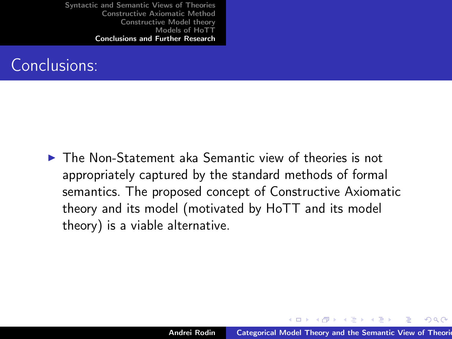

 $\triangleright$  The Non-Statement aka Semantic view of theories is not appropriately captured by the standard methods of formal semantics. The proposed concept of Constructive Axiomatic theory and its model (motivated by HoTT and its model theory) is a viable alternative.

K ロ ▶ K 御 ▶ K 君 ▶ K 君 ▶ ..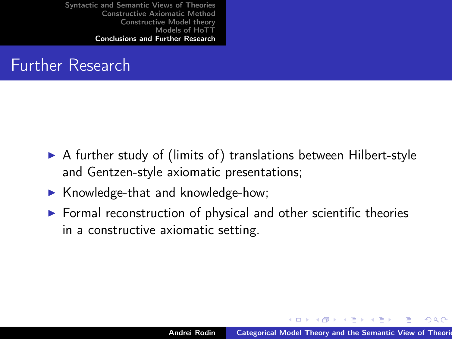#### Further Research

- $\triangleright$  A further study of (limits of) translations between Hilbert-style and Gentzen-style axiomatic presentations;
- $\blacktriangleright$  Knowledge-that and knowledge-how;
- $\triangleright$  Formal reconstruction of physical and other scientific theories in a constructive axiomatic setting.

キロメ オ御き オミメ オミメ